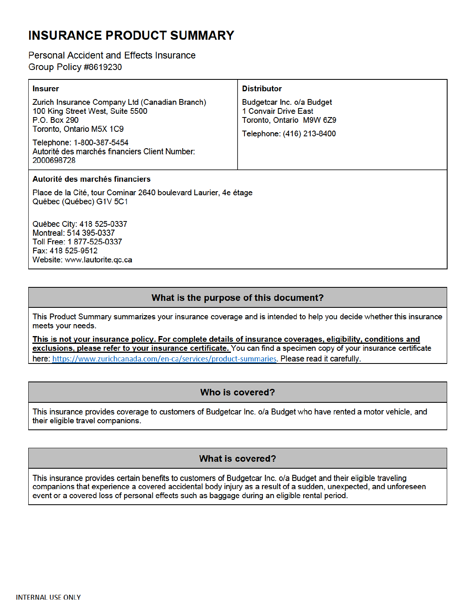# **INSURANCE PRODUCT SUMMARY**

## **Personal Accident and Effects Insurance** Group Policy #8619230

Fax: 418 525-9512

Website: www.lautorite.gc.ca

| <b>Insurer</b>                                                                                                                                                                                                                     | <b>Distributor</b>                                                                                         |                                 |  |
|------------------------------------------------------------------------------------------------------------------------------------------------------------------------------------------------------------------------------------|------------------------------------------------------------------------------------------------------------|---------------------------------|--|
| Zurich Insurance Company Ltd (Canadian Branch)<br>100 King Street West, Suite 5500<br><b>P.O. Box 290</b><br>Toronto, Ontario M5X 1C9<br>Telephone: 1-800-387-5454<br>Autorité des marchés financiers Client Number:<br>2000698728 | Budgetcar Inc. o/a Budget<br>1 Convair Drive East<br>Toronto, Ontario M9W 6Z9<br>Telephone: (416) 213-8400 |                                 |  |
|                                                                                                                                                                                                                                    |                                                                                                            | Autorité des marchés financiers |  |
| Place de la Cité, tour Cominar 2640 boulevard Laurier, 4e étage<br>Québec (Québec) G1V 5C1                                                                                                                                         |                                                                                                            |                                 |  |
| Québec City: 418 525-0337<br>Montreal: 514 395-0337<br>Toll Free: 1 877-525-0337                                                                                                                                                   |                                                                                                            |                                 |  |

What is the purpose of this document?

This Product Summary summarizes your insurance coverage and is intended to help you decide whether this insurance meets your needs.

This is not your insurance policy. For complete details of insurance coverages, eligibility, conditions and exclusions, please refer to your insurance certificate. You can find a specimen copy of your insurance certificate here: https://www.zurichcanada.com/en-ca/services/product-summaries. Please read it carefully.

## Who is covered?

This insurance provides coverage to customers of Budgetcar Inc. o/a Budget who have rented a motor vehicle, and their eligible travel companions.

## **What is covered?**

This insurance provides certain benefits to customers of Budgetcar Inc. o/a Budget and their eligible traveling companions that experience a covered accidental body injury as a result of a sudden, unexpected, and unforeseen event or a covered loss of personal effects such as baggage during an eligible rental period.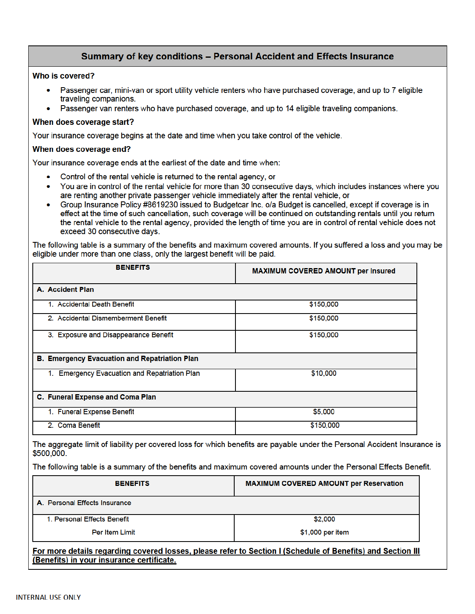## Summary of key conditions - Personal Accident and Effects Insurance

## Who is covered?

- Passenger car, mini-van or sport utility vehicle renters who have purchased coverage, and up to 7 eligible traveling companions.
- Passenger van renters who have purchased coverage, and up to 14 eligible traveling companions.

#### When does coverage start?

Your insurance coverage begins at the date and time when you take control of the vehicle.

#### When does coverage end?

Your insurance coverage ends at the earliest of the date and time when:

- Control of the rental vehicle is returned to the rental agency, or
- You are in control of the rental vehicle for more than 30 consecutive days, which includes instances where you are renting another private passenger vehicle immediately after the rental vehicle, or
- Group Insurance Policy #8619230 issued to Budgetcar Inc. o/a Budget is cancelled, except if coverage is in effect at the time of such cancellation, such coverage will be continued on outstanding rentals until you return the rental vehicle to the rental agency, provided the length of time you are in control of rental vehicle does not exceed 30 consecutive days.

The following table is a summary of the benefits and maximum covered amounts. If you suffered a loss and you may be eligible under more than one class, only the largest benefit will be paid.

| <b>BENEFITS</b>                                      | MAXIMUM COVERED AMOUNT per Insured |
|------------------------------------------------------|------------------------------------|
| A. Accident Plan                                     |                                    |
| 1. Accidental Death Benefit                          | \$150,000                          |
| 2. Accidental Dismemberment Benefit                  | \$150,000                          |
| 3. Exposure and Disappearance Benefit                | \$150,000                          |
| <b>B. Emergency Evacuation and Repatriation Plan</b> |                                    |
| 1. Emergency Evacuation and Repatriation Plan        | \$10,000                           |
| C. Funeral Expense and Coma Plan                     |                                    |
| 1. Funeral Expense Benefit                           | \$5,000                            |
| 2. Coma Benefit                                      | \$150,000                          |

The aggregate limit of liability per covered loss for which benefits are payable under the Personal Accident Insurance is \$500,000.

The following table is a summary of the benefits and maximum covered amounts under the Personal Effects Benefit.

| <b>BENEFITS</b>                                                                                             | <b>MAXIMUM COVERED AMOUNT per Reservation</b> |  |
|-------------------------------------------------------------------------------------------------------------|-----------------------------------------------|--|
| A. Personal Effects Insurance                                                                               |                                               |  |
| 1. Personal Effects Benefit                                                                                 | \$2,000                                       |  |
| <b>Per Item Limit</b>                                                                                       | \$1,000 per item                              |  |
| For more details regarding covered losses, please refer to Section I (Schedule of Benefits) and Section III |                                               |  |

(Benefits) in your insurance certificate.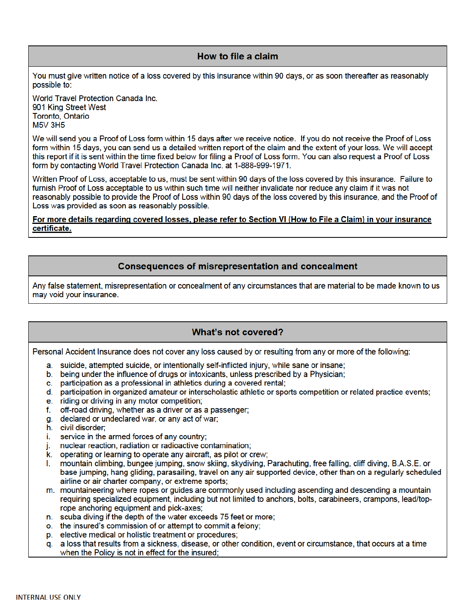## How to file a claim

You must give written notice of a loss covered by this insurance within 90 days, or as soon thereafter as reasonably possible to:

World Travel Protection Canada Inc. 901 King Street West Toronto, Ontario **M5V 3H5** 

We will send you a Proof of Loss form within 15 days after we receive notice. If you do not receive the Proof of Loss form within 15 days, you can send us a detailed written report of the claim and the extent of your loss. We will accept this report if it is sent within the time fixed below for filing a Proof of Loss form. You can also request a Proof of Loss form by contacting World Travel Protection Canada Inc. at 1-888-999-1971.

Written Proof of Loss, acceptable to us, must be sent within 90 days of the loss covered by this insurance. Failure to furnish Proof of Loss acceptable to us within such time will neither invalidate nor reduce any claim if it was not reasonably possible to provide the Proof of Loss within 90 days of the loss covered by this insurance, and the Proof of Loss was provided as soon as reasonably possible.

For more details regarding covered losses, please refer to Section VI (How to File a Claim) in your insurance certificate.

## **Consequences of misrepresentation and concealment**

Any false statement, misrepresentation or concealment of any circumstances that are material to be made known to us may void your insurance.

## What's not covered?

Personal Accident Insurance does not cover any loss caused by or resulting from any or more of the following:

- a. suicide, attempted suicide, or intentionally self-inflicted injury, while sane or insane;
- b. being under the influence of drugs or intoxicants, unless prescribed by a Physician;
- c. participation as a professional in athletics during a covered rental:
- d. participation in organized amateur or interscholastic athletic or sports competition or related practice events;
- e. riding or driving in any motor competition;
- f. off-road driving, whether as a driver or as a passenger;
- g. declared or undeclared war, or any act of war:
- h. civil disorder;
- i. service in the armed forces of any country;
- nuclear reaction, radiation or radioactive contamination: j.
- k. operating or learning to operate any aircraft, as pilot or crew;
- mountain climbing, bungee jumping, snow skiing, skydiving, Parachuting, free falling, cliff diving, B.A.S.E. or L. base jumping, hang gliding, parasailing, travel on any air supported device, other than on a regularly scheduled airline or air charter company, or extreme sports;
- m. mountaineering where ropes or guides are commonly used including ascending and descending a mountain requiring specialized equipment, including but not limited to anchors, bolts, carabineers, crampons, lead/toprope anchoring equipment and pick-axes;
- n. scuba diving if the depth of the water exceeds 75 feet or more:
- o. the insured's commission of or attempt to commit a felony;
- p. elective medical or holistic treatment or procedures:
- g. a loss that results from a sickness, disease, or other condition, event or circumstance, that occurs at a time when the Policy is not in effect for the insured;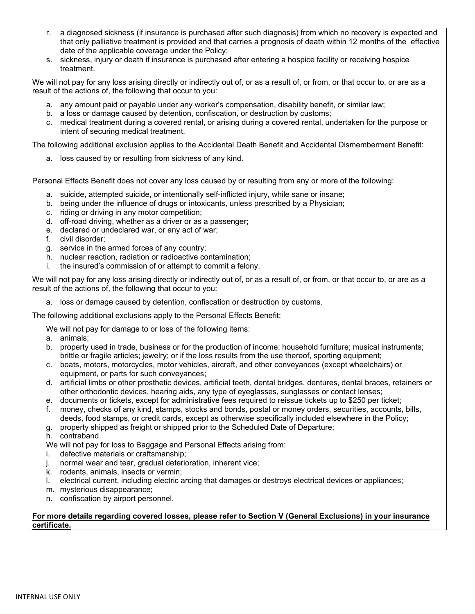- r. a diagnosed sickness (if insurance is purchased after such diagnosis) from which no recovery is expected and that only palliative treatment is provided and that carries a prognosis of death within 12 months of the effective date of the applicable coverage under the Policy;
- s. sickness, injury or death if insurance is purchased after entering a hospice facility or receiving hospice treatment.

We will not pay for any loss arising directly or indirectly out of, or as a result of, or from, or that occur to, or are as a result of the actions of, the following that occur to you:

- a. any amount paid or payable under any worker's compensation, disability benefit, or similar law;
- b. a loss or damage caused by detention, confiscation, or destruction by customs;
- c. medical treatment during a covered rental, or arising during a covered rental, undertaken for the purpose or intent of securing medical treatment.

The following additional exclusion applies to the Accidental Death Benefit and Accidental Dismemberment Benefit:

a. loss caused by or resulting from sickness of any kind.

Personal Effects Benefit does not cover any loss caused by or resulting from any or more of the following:

- a. suicide, attempted suicide, or intentionally self-inflicted injury, while sane or insane;
- b. being under the influence of drugs or intoxicants, unless prescribed by a Physician;
- c. riding or driving in any motor competition;
- d. off-road driving, whether as a driver or as a passenger;
- e. declared or undeclared war, or any act of war;
- f. civil disorder;
- g. service in the armed forces of any country;
- h. nuclear reaction, radiation or radioactive contamination;
- i. the insured's commission of or attempt to commit a felony.

We will not pay for any loss arising directly or indirectly out of, or as a result of, or from, or that occur to, or are as a result of the actions of, the following that occur to you:

a. loss or damage caused by detention, confiscation or destruction by customs.

The following additional exclusions apply to the Personal Effects Benefit:

We will not pay for damage to or loss of the following items:

- a. animals;
- b. property used in trade, business or for the production of income; household furniture; musical instruments; brittle or fragile articles; jewelry; or if the loss results from the use thereof, sporting equipment;
- c. boats, motors, motorcycles, motor vehicles, aircraft, and other conveyances (except wheelchairs) or equipment, or parts for such conveyances;
- d. artificial limbs or other prosthetic devices, artificial teeth, dental bridges, dentures, dental braces, retainers or other orthodontic devices, hearing aids, any type of eyeglasses, sunglasses or contact lenses;
- e. documents or tickets, except for administrative fees required to reissue tickets up to \$250 per ticket;
- f. money, checks of any kind, stamps, stocks and bonds, postal or money orders, securities, accounts, bills, deeds, food stamps, or credit cards, except as otherwise specifically included elsewhere in the Policy;
- g. property shipped as freight or shipped prior to the Scheduled Date of Departure;

h. contraband.

- We will not pay for loss to Baggage and Personal Effects arising from:
- i. defective materials or craftsmanship;
- j. normal wear and tear, gradual deterioration, inherent vice;
- k. rodents, animals, insects or vermin;
- l. electrical current, including electric arcing that damages or destroys electrical devices or appliances;
- m. mysterious disappearance;
- n. confiscation by airport personnel.

### **For more details regarding covered losses, please refer to Section V (General Exclusions) in your insurance certificate.**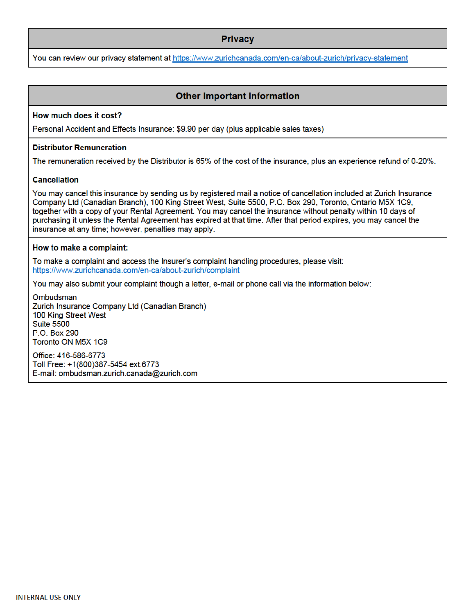## **Privacy**

You can review our privacy statement at https://www.zurichcanada.com/en-ca/about-zurich/privacy-statement

## **Other important information**

#### How much does it cost?

Personal Accident and Effects Insurance: \$9.90 per day (plus applicable sales taxes)

#### **Distributor Remuneration**

The remuneration received by the Distributor is 65% of the cost of the insurance, plus an experience refund of 0-20%.

### **Cancellation**

You may cancel this insurance by sending us by registered mail a notice of cancellation included at Zurich Insurance Company Ltd (Canadian Branch), 100 King Street West, Suite 5500, P.O. Box 290, Toronto, Ontario M5X 1C9, together with a copy of your Rental Agreement. You may cancel the insurance without penalty within 10 days of purchasing it unless the Rental Agreement has expired at that time. After that period expires, you may cancel the insurance at any time; however, penalties may apply.

#### How to make a complaint:

To make a complaint and access the Insurer's complaint handling procedures, please visit: https://www.zurichcanada.com/en-ca/about-zurich/complaint

You may also submit your complaint though a letter, e-mail or phone call via the information below:

Ombudsman Zurich Insurance Company Ltd (Canadian Branch) 100 King Street West **Suite 5500** P.O. Box 290 Toronto ON M5X 1C9

Office: 416-586-6773 Toll Free: +1(800)387-5454 ext.6773 E-mail: ombudsman.zurich.canada@zurich.com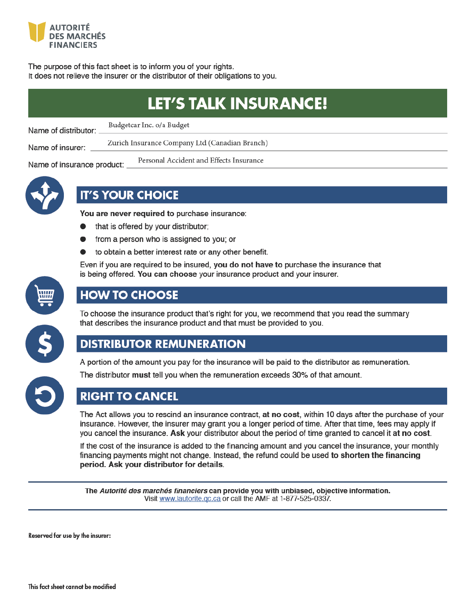

The purpose of this fact sheet is to inform you of your rights. It does not relieve the insurer or the distributor of their obligations to you.

| LET'S TALK INSURANCE!      |                                                |  |  |
|----------------------------|------------------------------------------------|--|--|
| Name of distributor:       | Budgetcar Inc. o/a Budget                      |  |  |
| Name of insurer:           | Zurich Insurance Company Ltd (Canadian Branch) |  |  |
| Name of insurance product: | Personal Accident and Effects Insurance        |  |  |



## **IT'S YOUR CHOICE**

You are never required to purchase insurance:

- that is offered by your distributor;
- from a person who is assigned to you; or
- to obtain a better interest rate or any other benefit.

Even if you are required to be insured, you do not have to purchase the insurance that is being offered. You can choose your insurance product and your insurer.



## **HOW TO CHOOSE**

To choose the insurance product that's right for you, we recommend that you read the summary that describes the insurance product and that must be provided to you.



## **DISTRIBUTOR REMUNERATION**

A portion of the amount you pay for the insurance will be paid to the distributor as remuneration.



The distributor must tell you when the remuneration exceeds 30% of that amount.

## **RIGHT TO CANCEL**

The Act allows you to rescind an insurance contract, at no cost, within 10 days after the purchase of your insurance. However, the insurer may grant you a longer period of time. After that time, fees may apply if you cancel the insurance. Ask your distributor about the period of time granted to cancel it at no cost.

If the cost of the insurance is added to the financing amount and you cancel the insurance, your monthly financing payments might not change. Instead, the refund could be used to shorten the financing period. Ask your distributor for details.

The Autorité des marchés financiers can provide you with unbiased, objective information. Visit www.lautorite.gc.ca or call the AMF at 1-877-525-0337.

Reserved for use by the insurer: